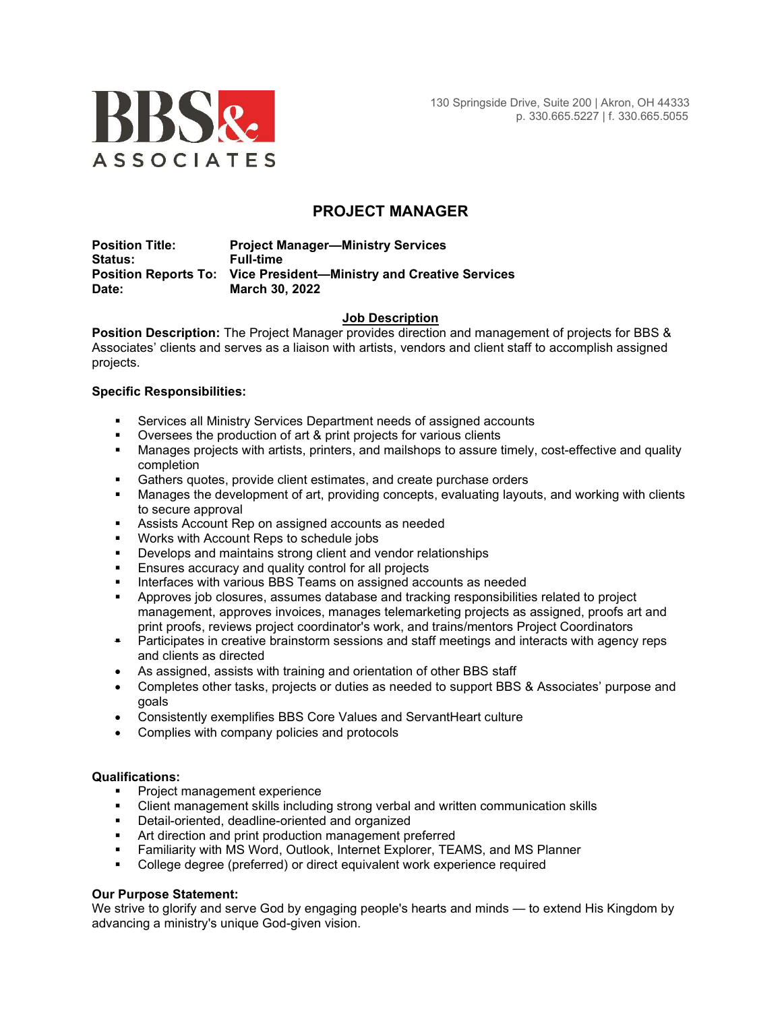

# PROJECT MANAGER

Position Title: Project Manager—Ministry Services Status: Full-time Position Reports To: Vice President—Ministry and Creative Services Date: March 30, 2022

# Job Description

Position Description: The Project Manager provides direction and management of projects for BBS & Associates' clients and serves as a liaison with artists, vendors and client staff to accomplish assigned projects.

# Specific Responsibilities:

- Services all Ministry Services Department needs of assigned accounts
- Oversees the production of art & print projects for various clients
- Manages projects with artists, printers, and mailshops to assure timely, cost-effective and quality completion
- **Gathers quotes, provide client estimates, and create purchase orders**
- Manages the development of art, providing concepts, evaluating layouts, and working with clients to secure approval
- Assists Account Rep on assigned accounts as needed
- Works with Account Reps to schedule jobs
- **•** Develops and maintains strong client and vendor relationships
- **Ensures accuracy and quality control for all projects**
- **Interfaces with various BBS Teams on assigned accounts as needed**
- Approves job closures, assumes database and tracking responsibilities related to project management, approves invoices, manages telemarketing projects as assigned, proofs art and print proofs, reviews project coordinator's work, and trains/mentors Project Coordinators
- **•** Participates in creative brainstorm sessions and staff meetings and interacts with agency reps and clients as directed
- As assigned, assists with training and orientation of other BBS staff
- Completes other tasks, projects or duties as needed to support BBS & Associates' purpose and goals
- Consistently exemplifies BBS Core Values and ServantHeart culture
- Complies with company policies and protocols

#### Qualifications:

- **Project management experience**
- Client management skills including strong verbal and written communication skills
- **Detail-oriented, deadline-oriented and organized**
- **Art direction and print production management preferred**
- Familiarity with MS Word, Outlook, Internet Explorer, TEAMS, and MS Planner
- College degree (preferred) or direct equivalent work experience required

# Our Purpose Statement:

We strive to glorify and serve God by engaging people's hearts and minds — to extend His Kingdom by advancing a ministry's unique God-given vision.